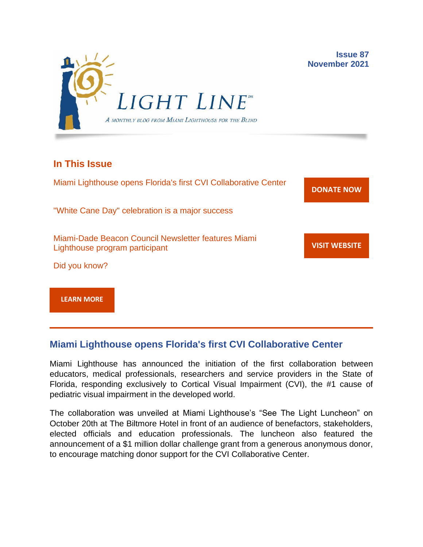

### **In This Issue**

Miami Lighthouse opens Florida's first CVI Collaborative Center "White Cane Day" celebration is a major success Miami-Dade Beacon Council Newsletter features Miami Lighthouse program participant Did you know? **[DONATE](http://r20.rs6.net/tn.jsp?f=001gO2GdS4FPEo240mg91k3c6HYN6ozMk69i8vrHipkUVt0nirc6iRjFsnZMWQfGpPyX5jA608dzGsffulXhDWN87JpF0RNMOsrEiEcR9KIVEjaVePiHS9eny3wE9Zh3DibFuDj7zvtMQCXwVbtALXi3_cnEJaT8XURz8jTt9N4yGe0rF3VoM8Y5mGhwRavYQ9CBe_fM4GbcQM=&c=A5xWHdmKDISdqoVssYAkMfhtdAlzuVskAHp3ASewWzRv5OnB7XubeA==&ch=KFi9wV6k5Z13Ef8Qia4fM-L584mfsNs0RWKjkNv-Bombmn4mZKg5Lw==) NOW VISIT [WEBSITE](http://r20.rs6.net/tn.jsp?f=001gO2GdS4FPEo240mg91k3c6HYN6ozMk69i8vrHipkUVt0nirc6iRjFp5OLUPp5xz8iJ7cM7NxB4ho-pmJZegg-UUCCff2BfEg0hVFNWmithw5L76cpbdpMlw1ZgIRlQC6OwIp0zOZvc1jcAvQYtup6ODb3HvWFX4_CFaBZinytweEHJSIK44w1g==&c=A5xWHdmKDISdqoVssYAkMfhtdAlzuVskAHp3ASewWzRv5OnB7XubeA==&ch=KFi9wV6k5Z13Ef8Qia4fM-L584mfsNs0RWKjkNv-Bombmn4mZKg5Lw==)**

**[LEARN MORE](http://www.miamilighthouse.org)**

## **Miami Lighthouse opens Florida's first CVI Collaborative Center**

Miami Lighthouse has announced the initiation of the first collaboration between educators, medical professionals, researchers and service providers in the State of Florida, responding exclusively to Cortical Visual Impairment (CVI), the #1 cause of pediatric visual impairment in the developed world.

The collaboration was unveiled at Miami Lighthouse's "See The Light Luncheon" on October 20th at The Biltmore Hotel in front of an audience of benefactors, stakeholders, elected officials and education professionals. The luncheon also featured the announcement of a \$1 million dollar challenge grant from a generous anonymous donor, to encourage matching donor support for the CVI Collaborative Center.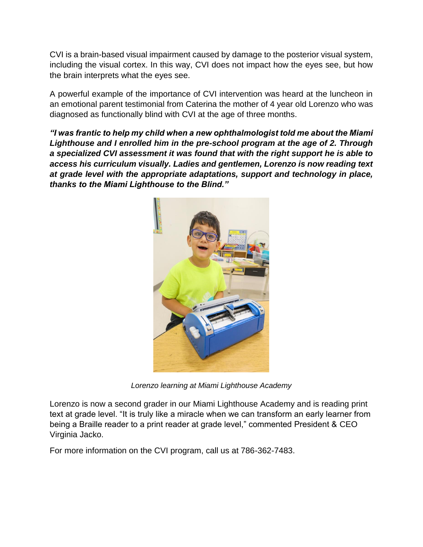CVI is a brain-based visual impairment caused by damage to the posterior visual system, including the visual cortex. In this way, CVI does not impact how the eyes see, but how the brain interprets what the eyes see.

A powerful example of the importance of CVI intervention was heard at the luncheon in an emotional parent testimonial from Caterina the mother of 4 year old Lorenzo who was diagnosed as functionally blind with CVI at the age of three months.

*"I was frantic to help my child when a new ophthalmologist told me about the Miami Lighthouse and I enrolled him in the pre-school program at the age of 2. Through a specialized CVI assessment it was found that with the right support he is able to access his curriculum visually. Ladies and gentlemen, Lorenzo is now reading text at grade level with the appropriate adaptations, support and technology in place, thanks to the Miami Lighthouse to the Blind."*



*Lorenzo learning at Miami Lighthouse Academy*

Lorenzo is now a second grader in our Miami Lighthouse Academy and is reading print text at grade level. "It is truly like a miracle when we can transform an early learner from being a Braille reader to a print reader at grade level," commented President & CEO Virginia Jacko.

For more information on the CVI program, call us at 786-362-7483.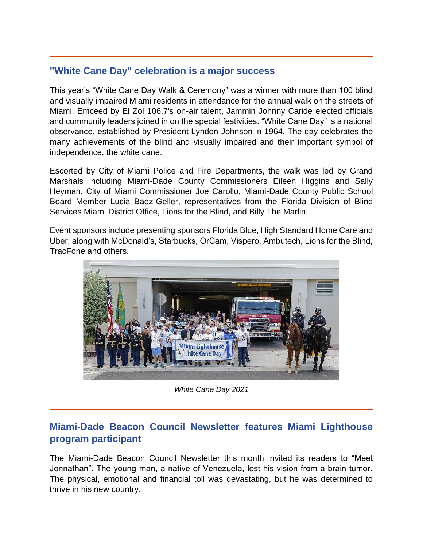## **"White Cane Day" celebration is a major success**

This year's "White Cane Day Walk & Ceremony" was a winner with more than 100 blind and visually impaired Miami residents in attendance for the annual walk on the streets of Miami. Emceed by El Zol 106.7's on-air talent, Jammin Johnny Caride elected officials and community leaders joined in on the special festivities. "White Cane Day" is a national observance, established by President Lyndon Johnson in 1964. The day celebrates the many achievements of the blind and visually impaired and their important symbol of independence, the white cane.

Escorted by City of Miami Police and Fire Departments, the walk was led by Grand Marshals including Miami-Dade County Commissioners Eileen Higgins and Sally Heyman, City of Miami Commissioner Joe Carollo, Miami-Dade County Public School Board Member Lucia Baez-Geller, representatives from the Florida Division of Blind Services Miami District Office, Lions for the Blind, and Billy The Marlin.

Event sponsors include presenting sponsors Florida Blue, High Standard Home Care and Uber, along with McDonald's, Starbucks, OrCam, Vispero, Ambutech, Lions for the Blind, TracFone and others.



*White Cane Day 2021*

# **Miami-Dade Beacon Council Newsletter features Miami Lighthouse program participant**

The Miami-Dade Beacon Council Newsletter this month invited its readers to "Meet Jonnathan". The young man, a native of Venezuela, lost his vision from a brain tumor. The physical, emotional and financial toll was devastating, but he was determined to thrive in his new country.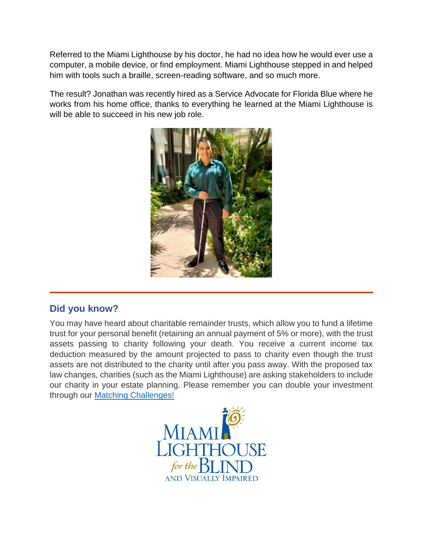Referred to the Miami Lighthouse by his doctor, he had no idea how he would ever use a computer, a mobile device, or find employment. Miami Lighthouse stepped in and helped him with tools such a braille, screen-reading software, and so much more.

The result? Jonathan was recently hired as a Service Advocate for Florida Blue where he works from his home office, thanks to everything he learned at the Miami Lighthouse is will be able to succeed in his new job role.



# **Did you know?**

You may have heard about charitable remainder trusts, which allow you to fund a lifetime trust for your personal benefit (retaining an annual payment of 5% or more), with the trust assets passing to charity following your death. You receive a current income tax deduction measured by the amount projected to pass to charity even though the trust assets are not distributed to the charity until after you pass away. With the proposed tax law changes, charities (such as the Miami Lighthouse) are asking stakeholders to include our charity in your estate planning. Please remember you can double your investment through our [Matching Challenges!](https://secure.miamilighthouse.org/Donations.asp)